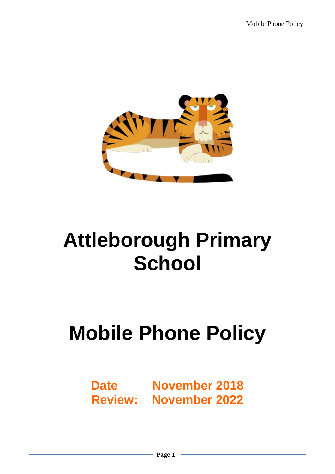

# **Attleborough Primary School**

# **Mobile Phone Policy**

# **Date November 2018 Review: November 2022**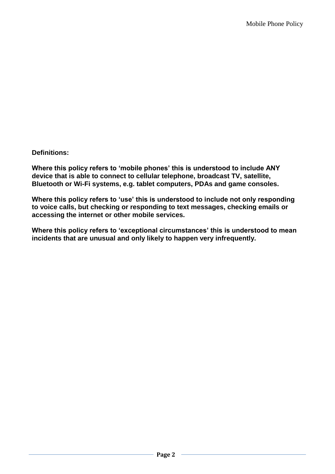**Definitions:**

**Where this policy refers to 'mobile phones' this is understood to include ANY device that is able to connect to cellular telephone, broadcast TV, satellite, Bluetooth or Wi-Fi systems, e.g. tablet computers, PDAs and game consoles.**

**Where this policy refers to 'use' this is understood to include not only responding to voice calls, but checking or responding to text messages, checking emails or accessing the internet or other mobile services.**

**Where this policy refers to 'exceptional circumstances' this is understood to mean incidents that are unusual and only likely to happen very infrequently.**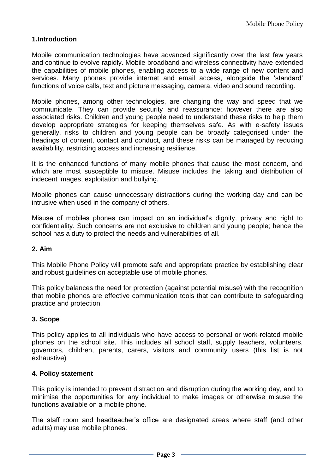### **1.Introduction**

Mobile communication technologies have advanced significantly over the last few years and continue to evolve rapidly. Mobile broadband and wireless connectivity have extended the capabilities of mobile phones, enabling access to a wide range of new content and services. Many phones provide internet and email access, alongside the 'standard' functions of voice calls, text and picture messaging, camera, video and sound recording.

Mobile phones, among other technologies, are changing the way and speed that we communicate. They can provide security and reassurance; however there are also associated risks. Children and young people need to understand these risks to help them develop appropriate strategies for keeping themselves safe. As with e-safety issues generally, risks to children and young people can be broadly categorised under the headings of content, contact and conduct, and these risks can be managed by reducing availability, restricting access and increasing resilience.

It is the enhanced functions of many mobile phones that cause the most concern, and which are most susceptible to misuse. Misuse includes the taking and distribution of indecent images, exploitation and bullying.

Mobile phones can cause unnecessary distractions during the working day and can be intrusive when used in the company of others.

Misuse of mobiles phones can impact on an individual's dignity, privacy and right to confidentiality. Such concerns are not exclusive to children and young people; hence the school has a duty to protect the needs and vulnerabilities of all.

#### **2. Aim**

This Mobile Phone Policy will promote safe and appropriate practice by establishing clear and robust guidelines on acceptable use of mobile phones.

This policy balances the need for protection (against potential misuse) with the recognition that mobile phones are effective communication tools that can contribute to safeguarding practice and protection.

#### **3. Scope**

This policy applies to all individuals who have access to personal or work-related mobile phones on the school site. This includes all school staff, supply teachers, volunteers, governors, children, parents, carers, visitors and community users (this list is not exhaustive)

#### **4. Policy statement**

This policy is intended to prevent distraction and disruption during the working day, and to minimise the opportunities for any individual to make images or otherwise misuse the functions available on a mobile phone.

The staff room and headteacher's office are designated areas where staff (and other adults) may use mobile phones.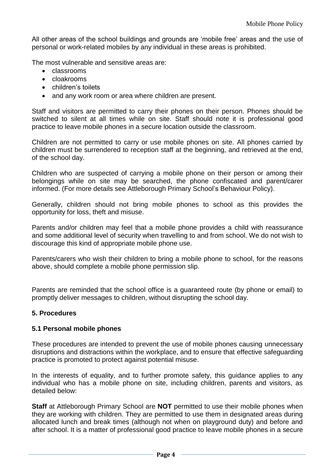All other areas of the school buildings and grounds are 'mobile free' areas and the use of personal or work-related mobiles by any individual in these areas is prohibited.

The most vulnerable and sensitive areas are:

- classrooms
- cloakrooms
- children's toilets
- and any work room or area where children are present.

Staff and visitors are permitted to carry their phones on their person. Phones should be switched to silent at all times while on site. Staff should note it is professional good practice to leave mobile phones in a secure location outside the classroom.

Children are not permitted to carry or use mobile phones on site. All phones carried by children must be surrendered to reception staff at the beginning, and retrieved at the end, of the school day.

Children who are suspected of carrying a mobile phone on their person or among their belongings while on site may be searched, the phone confiscated and parent/carer informed. (For more details see Attleborough Primary School's Behaviour Policy).

Generally, children should not bring mobile phones to school as this provides the opportunity for loss, theft and misuse.

Parents and/or children may feel that a mobile phone provides a child with reassurance and some additional level of security when travelling to and from school. We do not wish to discourage this kind of appropriate mobile phone use.

Parents/carers who wish their children to bring a mobile phone to school, for the reasons above, should complete a mobile phone permission slip.

Parents are reminded that the school office is a guaranteed route (by phone or email) to promptly deliver messages to children, without disrupting the school day.

#### **5. Procedures**

#### **5.1 Personal mobile phones**

These procedures are intended to prevent the use of mobile phones causing unnecessary disruptions and distractions within the workplace, and to ensure that effective safeguarding practice is promoted to protect against potential misuse.

In the interests of equality, and to further promote safety, this guidance applies to any individual who has a mobile phone on site, including children, parents and visitors, as detailed below:

**Staff** at Attleborough Primary School are **NOT** permitted to use their mobile phones when they are working with children. They are permitted to use them in designated areas during allocated lunch and break times (although not when on playground duty) and before and after school. It is a matter of professional good practice to leave mobile phones in a secure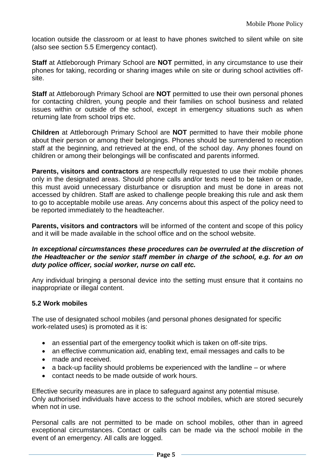location outside the classroom or at least to have phones switched to silent while on site (also see section 5.5 Emergency contact).

**Staff** at Attleborough Primary School are **NOT** permitted, in any circumstance to use their phones for taking, recording or sharing images while on site or during school activities offsite.

**Staff** at Attleborough Primary School are **NOT** permitted to use their own personal phones for contacting children, young people and their families on school business and related issues within or outside of the school, except in emergency situations such as when returning late from school trips etc.

**Children** at Attleborough Primary School are **NOT** permitted to have their mobile phone about their person or among their belongings. Phones should be surrendered to reception staff at the beginning, and retrieved at the end, of the school day. Any phones found on children or among their belongings will be confiscated and parents informed.

**Parents, visitors and contractors** are respectfully requested to use their mobile phones only in the designated areas. Should phone calls and/or texts need to be taken or made, this must avoid unnecessary disturbance or disruption and must be done in areas not accessed by children. Staff are asked to challenge people breaking this rule and ask them to go to acceptable mobile use areas. Any concerns about this aspect of the policy need to be reported immediately to the headteacher.

**Parents, visitors and contractors** will be informed of the content and scope of this policy and it will be made available in the school office and on the school website.

#### *In exceptional circumstances these procedures can be overruled at the discretion of the Headteacher or the senior staff member in charge of the school, e.g. for an on duty police officer, social worker, nurse on call etc.*

Any individual bringing a personal device into the setting must ensure that it contains no inappropriate or illegal content.

## **5.2 Work mobiles**

The use of designated school mobiles (and personal phones designated for specific work-related uses) is promoted as it is:

- an essential part of the emergency toolkit which is taken on off-site trips.
- an effective communication aid, enabling text, email messages and calls to be
- made and received.
- $\bullet$  a back-up facility should problems be experienced with the landline or where
- contact needs to be made outside of work hours.

Effective security measures are in place to safeguard against any potential misuse. Only authorised individuals have access to the school mobiles, which are stored securely when not in use.

Personal calls are not permitted to be made on school mobiles, other than in agreed exceptional circumstances. Contact or calls can be made via the school mobile in the event of an emergency. All calls are logged.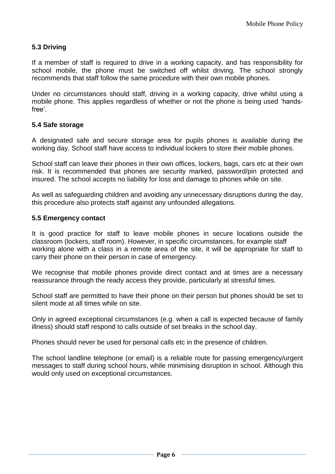# **5.3 Driving**

If a member of staff is required to drive in a working capacity, and has responsibility for school mobile, the phone must be switched off whilst driving. The school strongly recommends that staff follow the same procedure with their own mobile phones.

Under no circumstances should staff, driving in a working capacity, drive whilst using a mobile phone. This applies regardless of whether or not the phone is being used 'handsfree'.

## **5.4 Safe storage**

A designated safe and secure storage area for pupils phones is available during the working day. School staff have access to individual lockers to store their mobile phones.

School staff can leave their phones in their own offices, lockers, bags, cars etc at their own risk. It is recommended that phones are security marked, password/pin protected and insured. The school accepts no liability for loss and damage to phones while on site.

As well as safeguarding children and avoiding any unnecessary disruptions during the day, this procedure also protects staff against any unfounded allegations.

#### **5.5 Emergency contact**

It is good practice for staff to leave mobile phones in secure locations outside the classroom (lockers, staff room). However, in specific circumstances, for example staff working alone with a class in a remote area of the site, it will be appropriate for staff to carry their phone on their person in case of emergency.

We recognise that mobile phones provide direct contact and at times are a necessary reassurance through the ready access they provide, particularly at stressful times.

School staff are permitted to have their phone on their person but phones should be set to silent mode at all times while on site.

Only in agreed exceptional circumstances (e.g. when a call is expected because of family illness) should staff respond to calls outside of set breaks in the school day.

Phones should never be used for personal calls etc in the presence of children.

The school landline telephone (or email) is a reliable route for passing emergency/urgent messages to staff during school hours, while minimising disruption in school. Although this would only used on exceptional circumstances.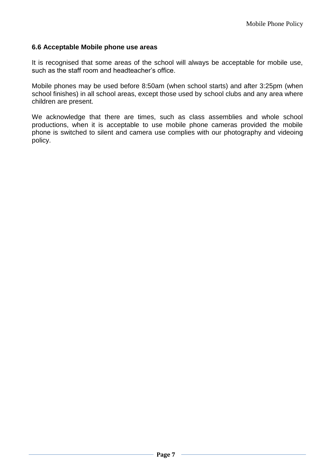#### **6.6 Acceptable Mobile phone use areas**

It is recognised that some areas of the school will always be acceptable for mobile use, such as the staff room and headteacher's office.

Mobile phones may be used before 8:50am (when school starts) and after 3:25pm (when school finishes) in all school areas, except those used by school clubs and any area where children are present.

We acknowledge that there are times, such as class assemblies and whole school productions, when it is acceptable to use mobile phone cameras provided the mobile phone is switched to silent and camera use complies with our photography and videoing policy.